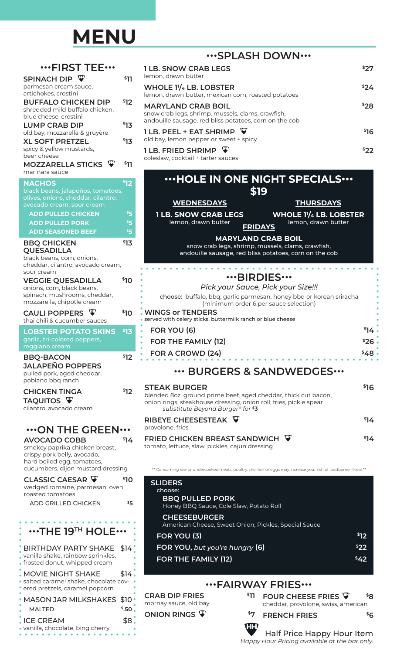## **MENU**

|                                                                                                            |            |                                                                                                                                                                                                 |      | ""SPLASH DOWN""                                                                                                                          |      |
|------------------------------------------------------------------------------------------------------------|------------|-------------------------------------------------------------------------------------------------------------------------------------------------------------------------------------------------|------|------------------------------------------------------------------------------------------------------------------------------------------|------|
| $\cdots$ FIRST TEE $\cdots$                                                                                |            | <b>1 LB. SNOW CRAB LEGS</b>                                                                                                                                                                     |      |                                                                                                                                          | \$27 |
| SPINACH DIP W<br>parmesan cream sauce,                                                                     | \$11       | lemon, drawn butter<br>WHOLE 1 <sup>1</sup> / <sub>4</sub> LB. LOBSTER                                                                                                                          |      |                                                                                                                                          | \$24 |
| artichokes, crostini                                                                                       |            | lemon, drawn butter, mexican corn, roasted potatoes                                                                                                                                             |      |                                                                                                                                          |      |
| <b>BUFFALO CHICKEN DIP</b><br>shredded mild buffalo chicken,<br>blue cheese, crostini                      | \$12       | <b>MARYLAND CRAB BOIL</b><br>snow crab legs, shrimp, mussels, clams, crawfish,<br>andouille sausage, red bliss potatoes, corn on the cob                                                        |      |                                                                                                                                          | \$28 |
| <b>LUMP CRAB DIP</b>                                                                                       | \$13       | 1 LB. PEEL + EAT SHRIMP                                                                                                                                                                         |      |                                                                                                                                          | \$16 |
| old bay, mozzarella & gruyère<br><b>XL SOFT PRETZEL</b>                                                    | \$13       | old bay, lemon pepper or sweet + spicy                                                                                                                                                          |      |                                                                                                                                          |      |
| spicy & yellow mustards,<br>beer cheese                                                                    |            | <b>1 LB. FRIED SHRIMP</b><br>coleslaw, cocktail + tarter sauces                                                                                                                                 |      |                                                                                                                                          | \$22 |
| MOZZARELLA STICKS W                                                                                        | \$11       |                                                                                                                                                                                                 |      |                                                                                                                                          |      |
| marinara sauce                                                                                             |            |                                                                                                                                                                                                 |      | "HOLE IN ONE NIGHT SPECIALS"                                                                                                             |      |
| <b>NACHOS</b><br>black beans, jalapeños, tomatoes,<br>olives, onions, cheddar, cilantro,                   | \$12       |                                                                                                                                                                                                 |      | \$19                                                                                                                                     |      |
| avocado cream, sour cream                                                                                  |            | <b>WEDNESDAYS</b>                                                                                                                                                                               |      | <b>THURSDAYS</b>                                                                                                                         |      |
| <b>ADD PULLED CHICKEN</b><br><b>ADD PULLED PORK</b>                                                        | \$5<br>\$5 | <b>1 LB. SNOW CRAB LEGS</b><br>lemon, drawn butter                                                                                                                                              |      | <b>WHOLE 11/4 LB. LOBSTER</b><br>lemon, drawn butter                                                                                     |      |
| <b>ADD SEASONED BEEF</b>                                                                                   | \$5        |                                                                                                                                                                                                 |      | <b>FRIDAYS</b>                                                                                                                           |      |
| <b>BBQ CHICKEN</b><br><b>QUESADILLA</b><br>black beans, corn, onions,<br>cheddar, cilantro, avocado cream, | \$13       |                                                                                                                                                                                                 |      | <b>MARYLAND CRAB BOIL</b><br>snow crab legs, shrimp, mussels, clams, crawfish,<br>andouille sausage, red bliss potatoes, corn on the cob |      |
| sour cream                                                                                                 |            |                                                                                                                                                                                                 |      | $\cdots$ BIRDIES $\cdots$                                                                                                                |      |
| <b>VEGGIE QUESADILLA</b><br>onions, corn, black beans,                                                     | \$10       |                                                                                                                                                                                                 |      | Pick your Sauce, Pick your Size!!!                                                                                                       |      |
| spinach, mushrooms, cheddar,<br>mozzarella, chipotle cream                                                 |            |                                                                                                                                                                                                 |      | choose: buffalo, bbq, garlic parmesan, honey bbq or korean sriracha<br>(minimum order 6 per sauce selection)                             |      |
| CAULI POPPERS W<br>thai chili & cucumber sauces                                                            | \$10       | <b>WINGS or TENDERS</b><br>· served with celery sticks, buttermilk ranch or blue cheese                                                                                                         |      |                                                                                                                                          |      |
| <b>LOBSTER POTATO SKINS</b>                                                                                | \$13       | FOR YOU (6)                                                                                                                                                                                     |      |                                                                                                                                          | \$14 |
| garlic, tri-colored peppers,<br>reggiano cream                                                             |            | <b>FOR THE FAMILY (12)</b>                                                                                                                                                                      |      |                                                                                                                                          | \$26 |
| <b>BBQ-BACON</b>                                                                                           | \$12       | FOR A CROWD (24)                                                                                                                                                                                |      |                                                                                                                                          | \$48 |
| <b>JALAPEÑO POPPERS</b><br>pulled pork, aged cheddar,<br>poblano bbq ranch                                 |            |                                                                                                                                                                                                 |      | *** BURGERS & SANDWEDGES***                                                                                                              |      |
| <b>CHICKEN TINGA</b><br>TAQUITOS <sup>T</sup><br>cilantro, avocado cream                                   | \$12       | <b>STEAK BURGER</b><br>blended 8oz. ground prime beef, aged cheddar, thick cut bacon,<br>onion rings, steakhouse dressing, onion roll, fries, pickle spear<br>substitute Beyond Burger® for \$3 |      |                                                                                                                                          | \$16 |
| $\cdots$ ON THE GREEN $\cdots$                                                                             |            | RIBEYE CHEESESTEAK W<br>provolone, fries                                                                                                                                                        |      |                                                                                                                                          | \$14 |
| <b>AVOCADO COBB</b><br>smokey paprika chicken breast,<br>crispy pork belly, avocado,                       | \$14       | <b>FRIED CHICKEN BREAST SANDWICH</b><br>tomato, lettuce, slaw, pickles, cajun dressing                                                                                                          |      |                                                                                                                                          | \$14 |
| hard boiled egg, tomatoes,<br>cucumbers, dijon mustard dressing                                            |            |                                                                                                                                                                                                 |      | ** Consuming raw or undercooked meats, poultry, shellfish or eggs may increase your rish of foodborne illness.**                         |      |
| <b>CLASSIC CAESAR W</b><br>wedged romaine, parmesan, oven<br>roasted tomatoes                              | \$10       | <b>SLIDERS</b><br>choose:                                                                                                                                                                       |      |                                                                                                                                          |      |
| ADD GRILLED CHICKEN                                                                                        | \$5        | <b>BBQ PULLED PORK</b><br>Honey BBQ Sauce, Cole Slaw, Potato Roll                                                                                                                               |      |                                                                                                                                          |      |
|                                                                                                            |            | <b>CHEESEBURGER</b><br>American Cheese, Sweet Onion, Pickles, Special Sauce                                                                                                                     |      |                                                                                                                                          |      |
| $\cdots$ THE 19 <sup>TH</sup> HOLE $\cdots$                                                                |            | FOR YOU (3)                                                                                                                                                                                     |      |                                                                                                                                          | \$12 |
| <b>BIRTHDAY PARTY SHAKE</b>                                                                                | \$14.      | FOR YOU, but you're hungry (6)                                                                                                                                                                  |      |                                                                                                                                          | \$22 |
| vanilla shake, rainbow sprinkles,<br>• frosted donut, whipped cream                                        |            | FOR THE FAMILY (12)                                                                                                                                                                             |      |                                                                                                                                          | \$42 |
| <b>MOVIE NIGHT SHAKE</b><br>· salted caramel shake, chocolate cov-<br>· ered pretzels, caramel popcorn     | \$14.      |                                                                                                                                                                                                 |      | "FAIRWAY FRIES"                                                                                                                          |      |
| <b>MASON JAR MILKSHAKES</b>                                                                                | \$10"      | <b>CRAB DIP FRIES</b><br>mornay sauce, old bay                                                                                                                                                  | \$11 | FOUR CHEESE FRIES $\Psi$                                                                                                                 | \$8  |
| <b>MALTED</b>                                                                                              | \$.50.     | ONION RINGS W                                                                                                                                                                                   | \$7  | cheddar, provolone, swiss, american<br><b>FRENCH FRIES</b>                                                                               | \$6  |
|                                                                                                            |            |                                                                                                                                                                                                 |      |                                                                                                                                          |      |

ICE CREAM \$8 vanilla, chocolate, bing cherry  $\begin{array}{c} \bullet\hspace{0.2cm}\bullet\hspace{0.2cm}\bullet\hspace{0.2cm}\bullet\hspace{0.2cm} \bullet \end{array}$ 

| "SPLASH DOWN"                                                                                                                            |                 |
|------------------------------------------------------------------------------------------------------------------------------------------|-----------------|
| <b>1 LB. SNOW CRAB LEGS</b><br>lemon, drawn butter                                                                                       | \$27            |
| WHOLE 1 <sup>1</sup> /4 LB. LOBSTER<br>lemon, drawn butter, mexican corn, roasted potatoes                                               | \$24            |
| <b>MARYLAND CRAB BOIL</b><br>snow crab legs, shrimp, mussels, clams, crawfish,<br>andouille sausage, red bliss potatoes, corn on the cob | \$28            |
| $1$ LB. PEEL + EAT SHRIMP $\ ^\mathbf{\mathbb{W}}$<br>old bay, lemon pepper or sweet + spicy                                             | <sup>\$16</sup> |
| 1 LB. FRIED SHRIMP $\ ^\mathbf{\mathbb{W}}$                                                                                              | \$22            |

# **SPECIALS ···**

## . . . . . . . . . . . . . . .

#### *Pick your Sauce, Pick your Size!!!*

## **WEDGES •••**

| <b>STEAK BURGER</b><br>blended 80z. ground prime beef, aged cheddar, thick cut bacon,<br>onion rings, steakhouse dressing, onion roll, fries, pickle spear<br>substitute Beyond Burger® for \$3 | ኑገሯ  |
|-------------------------------------------------------------------------------------------------------------------------------------------------------------------------------------------------|------|
| RIBEYE CHEESESTEAK W<br>provolone, fries                                                                                                                                                        | \$14 |
| EDIED CHICKEN PDEACT CANDWICH<br>ШJ                                                                                                                                                             |      |

| <b>SLIDERS</b><br>choose:<br><b>BBQ PULLED PORK</b><br>Honey BBQ Sauce, Cole Slaw, Potato Roll |      |
|------------------------------------------------------------------------------------------------|------|
| <b>CHEESEBURGER</b><br>American Cheese, Sweet Onion, Pickles, Special Sauce                    |      |
| FOR YOU (3)                                                                                    | \$12 |
| FOR YOU, but you're hungry (6)                                                                 | \$22 |
| <b>FOR THE FAMILY (12)</b>                                                                     | \$42 |
|                                                                                                |      |

### **ES** $\cdots$

### **CH FRIES**  ${}^{5}6$

Lorem ipsum **HH** Half Price Happy Hour Item

*Happy Hour Pricing available at the bar only.*